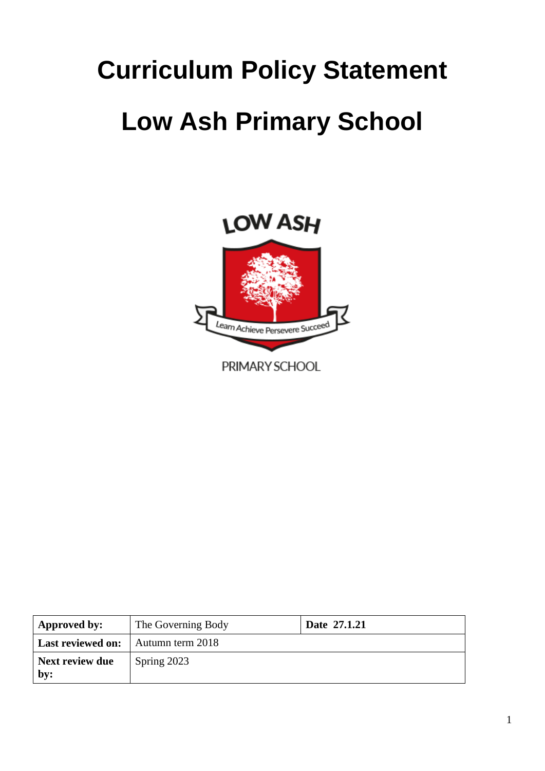# **Curriculum Policy Statement Low Ash Primary School**

# **LOW ASH** Learn Achieve Persevere Succeed

PRIMARY SCHOOL

| Approved by:             | The Governing Body | Date 27.1.21 |
|--------------------------|--------------------|--------------|
| <b>Last reviewed on:</b> | Autumn term 2018   |              |
| Next review due<br>by:   | Spring 2023        |              |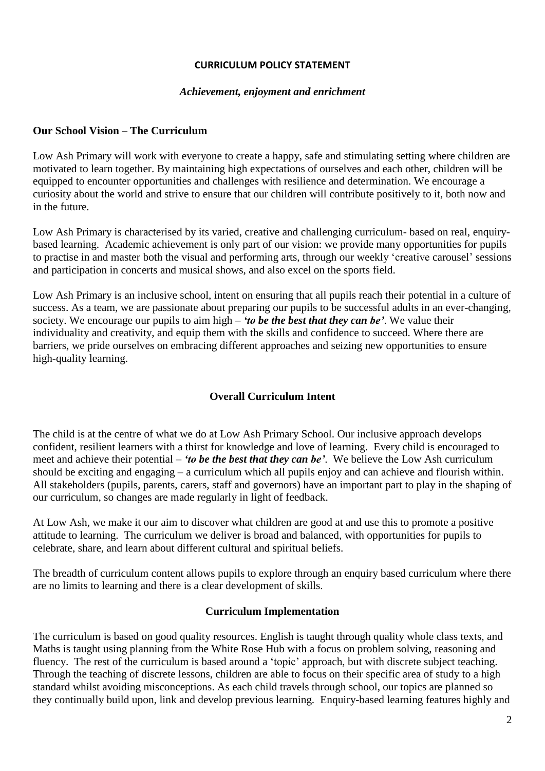### **CURRICULUM POLICY STATEMENT**

### *Achievement, enjoyment and enrichment*

### **Our School Vision – The Curriculum**

Low Ash Primary will work with everyone to create a happy, safe and stimulating setting where children are motivated to learn together. By maintaining high expectations of ourselves and each other, children will be equipped to encounter opportunities and challenges with resilience and determination. We encourage a curiosity about the world and strive to ensure that our children will contribute positively to it, both now and in the future.

Low Ash Primary is characterised by its varied, creative and challenging curriculum- based on real, enquirybased learning. Academic achievement is only part of our vision: we provide many opportunities for pupils to practise in and master both the visual and performing arts, through our weekly 'creative carousel' sessions and participation in concerts and musical shows, and also excel on the sports field.

Low Ash Primary is an inclusive school, intent on ensuring that all pupils reach their potential in a culture of success. As a team, we are passionate about preparing our pupils to be successful adults in an ever-changing, society. We encourage our pupils to aim high – *'to be the best that they can be'*. We value their individuality and creativity, and equip them with the skills and confidence to succeed. Where there are barriers, we pride ourselves on embracing different approaches and seizing new opportunities to ensure high-quality learning.

# **Overall Curriculum Intent**

The child is at the centre of what we do at Low Ash Primary School. Our inclusive approach develops confident, resilient learners with a thirst for knowledge and love of learning. Every child is encouraged to meet and achieve their potential – *'to be the best that they can be'*. We believe the Low Ash curriculum should be exciting and engaging – a curriculum which all pupils enjoy and can achieve and flourish within. All stakeholders (pupils, parents, carers, staff and governors) have an important part to play in the shaping of our curriculum, so changes are made regularly in light of feedback.

At Low Ash, we make it our aim to discover what children are good at and use this to promote a positive attitude to learning. The curriculum we deliver is broad and balanced, with opportunities for pupils to celebrate, share, and learn about different cultural and spiritual beliefs.

The breadth of curriculum content allows pupils to explore through an enquiry based curriculum where there are no limits to learning and there is a clear development of skills.

### **Curriculum Implementation**

The curriculum is based on good quality resources. English is taught through quality whole class texts, and Maths is taught using planning from the White Rose Hub with a focus on problem solving, reasoning and fluency. The rest of the curriculum is based around a 'topic' approach, but with discrete subject teaching. Through the teaching of discrete lessons, children are able to focus on their specific area of study to a high standard whilst avoiding misconceptions. As each child travels through school, our topics are planned so they continually build upon, link and develop previous learning. Enquiry-based learning features highly and